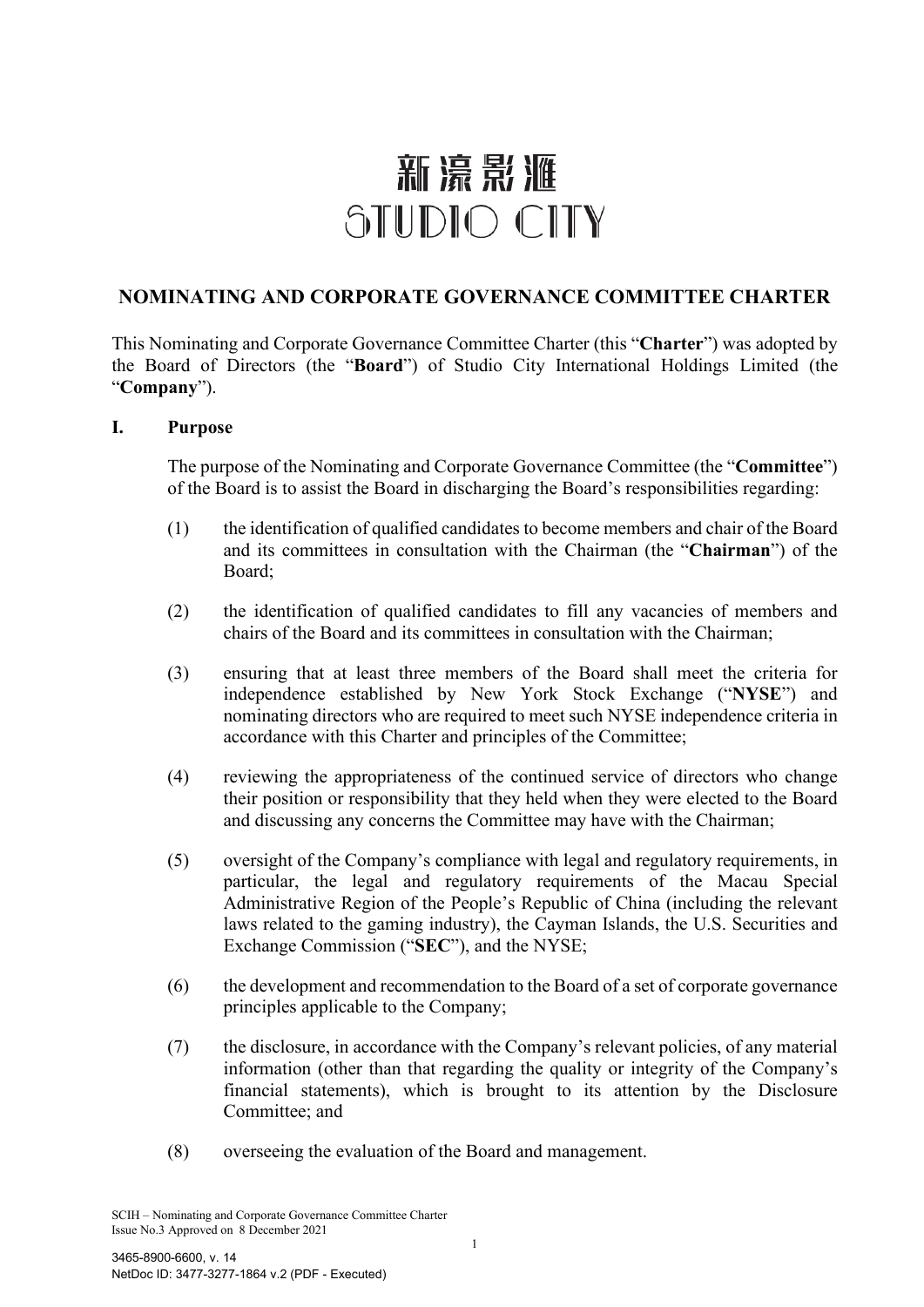# 新濠影滙 STUDIO CITY

# **NOMINATING AND CORPORATE GOVERNANCE COMMITTEE CHARTER**

This Nominating and Corporate Governance Committee Charter (this "**Charter**") was adopted by the Board of Directors (the "**Board**") of Studio City International Holdings Limited (the "**Company**").

#### **I. Purpose**

The purpose of the Nominating and Corporate Governance Committee (the "**Committee**") of the Board is to assist the Board in discharging the Board's responsibilities regarding:

- (1) the identification of qualified candidates to become members and chair of the Board and its committees in consultation with the Chairman (the "**Chairman**") of the Board;
- (2) the identification of qualified candidates to fill any vacancies of members and chairs of the Board and its committees in consultation with the Chairman;
- (3) ensuring that at least three members of the Board shall meet the criteria for independence established by New York Stock Exchange ("**NYSE**") and nominating directors who are required to meet such NYSE independence criteria in accordance with this Charter and principles of the Committee;
- (4) reviewing the appropriateness of the continued service of directors who change their position or responsibility that they held when they were elected to the Board and discussing any concerns the Committee may have with the Chairman;
- (5) oversight of the Company's compliance with legal and regulatory requirements, in particular, the legal and regulatory requirements of the Macau Special Administrative Region of the People's Republic of China (including the relevant laws related to the gaming industry), the Cayman Islands, the U.S. Securities and Exchange Commission ("**SEC**"), and the NYSE;
- (6) the development and recommendation to the Board of a set of corporate governance principles applicable to the Company;
- (7) the disclosure, in accordance with the Company's relevant policies, of any material information (other than that regarding the quality or integrity of the Company's financial statements), which is brought to its attention by the Disclosure Committee; and
- (8) overseeing the evaluation of the Board and management.

SCIH – Nominating and Corporate Governance Committee Charter Issue No.3 Approved on 8 December 2021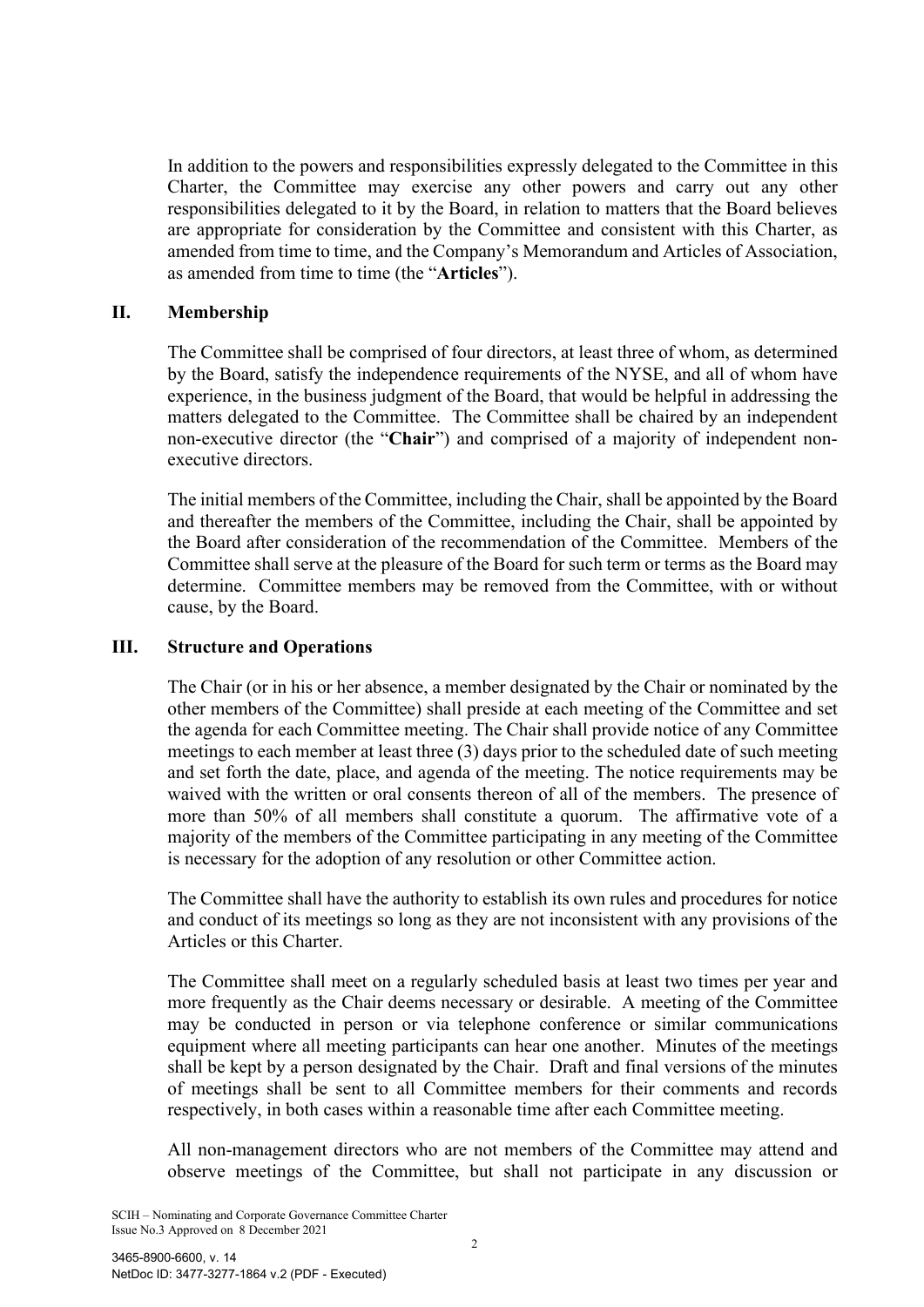In addition to the powers and responsibilities expressly delegated to the Committee in this Charter, the Committee may exercise any other powers and carry out any other responsibilities delegated to it by the Board, in relation to matters that the Board believes are appropriate for consideration by the Committee and consistent with this Charter, as amended from time to time, and the Company's Memorandum and Articles of Association, as amended from time to time (the "**Articles**").

### **II. Membership**

The Committee shall be comprised of four directors, at least three of whom, as determined by the Board, satisfy the independence requirements of the NYSE, and all of whom have experience, in the business judgment of the Board, that would be helpful in addressing the matters delegated to the Committee. The Committee shall be chaired by an independent non-executive director (the "**Chair**") and comprised of a majority of independent nonexecutive directors.

The initial members of the Committee, including the Chair, shall be appointed by the Board and thereafter the members of the Committee, including the Chair, shall be appointed by the Board after consideration of the recommendation of the Committee. Members of the Committee shall serve at the pleasure of the Board for such term or terms as the Board may determine. Committee members may be removed from the Committee, with or without cause, by the Board.

# **III. Structure and Operations**

The Chair (or in his or her absence, a member designated by the Chair or nominated by the other members of the Committee) shall preside at each meeting of the Committee and set the agenda for each Committee meeting. The Chair shall provide notice of any Committee meetings to each member at least three (3) days prior to the scheduled date of such meeting and set forth the date, place, and agenda of the meeting. The notice requirements may be waived with the written or oral consents thereon of all of the members. The presence of more than 50% of all members shall constitute a quorum. The affirmative vote of a majority of the members of the Committee participating in any meeting of the Committee is necessary for the adoption of any resolution or other Committee action.

The Committee shall have the authority to establish its own rules and procedures for notice and conduct of its meetings so long as they are not inconsistent with any provisions of the Articles or this Charter.

The Committee shall meet on a regularly scheduled basis at least two times per year and more frequently as the Chair deems necessary or desirable. A meeting of the Committee may be conducted in person or via telephone conference or similar communications equipment where all meeting participants can hear one another. Minutes of the meetings shall be kept by a person designated by the Chair. Draft and final versions of the minutes of meetings shall be sent to all Committee members for their comments and records respectively, in both cases within a reasonable time after each Committee meeting.

All non-management directors who are not members of the Committee may attend and observe meetings of the Committee, but shall not participate in any discussion or

SCIH – Nominating and Corporate Governance Committee Charter Issue No.3 Approved on 8 December 2021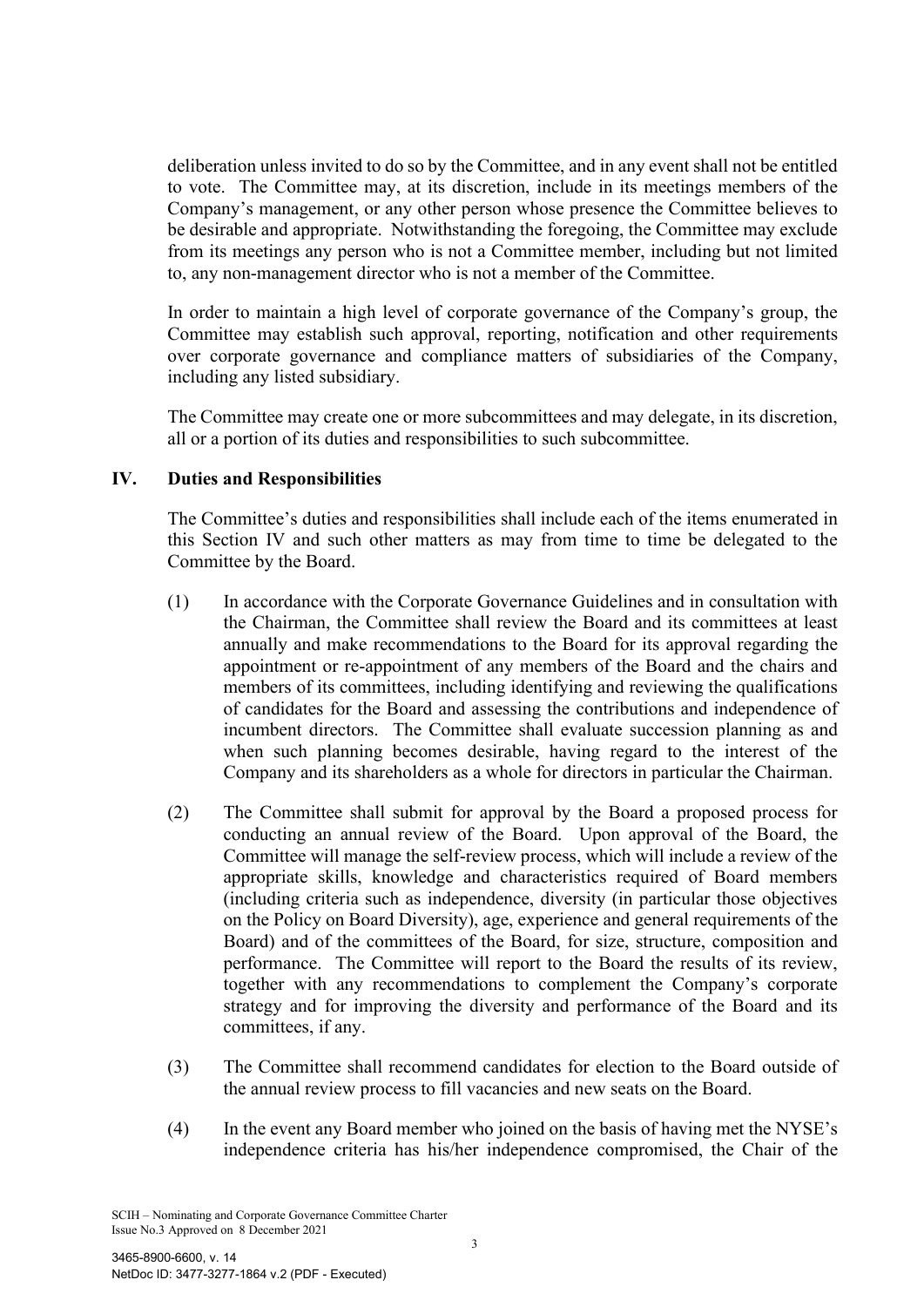deliberation unless invited to do so by the Committee, and in any event shall not be entitled to vote. The Committee may, at its discretion, include in its meetings members of the Company's management, or any other person whose presence the Committee believes to be desirable and appropriate. Notwithstanding the foregoing, the Committee may exclude from its meetings any person who is not a Committee member, including but not limited to, any non-management director who is not a member of the Committee.

In order to maintain a high level of corporate governance of the Company's group, the Committee may establish such approval, reporting, notification and other requirements over corporate governance and compliance matters of subsidiaries of the Company, including any listed subsidiary.

The Committee may create one or more subcommittees and may delegate, in its discretion, all or a portion of its duties and responsibilities to such subcommittee.

# **IV. Duties and Responsibilities**

The Committee's duties and responsibilities shall include each of the items enumerated in this Section IV and such other matters as may from time to time be delegated to the Committee by the Board.

- (1) In accordance with the Corporate Governance Guidelines and in consultation with the Chairman, the Committee shall review the Board and its committees at least annually and make recommendations to the Board for its approval regarding the appointment or re-appointment of any members of the Board and the chairs and members of its committees, including identifying and reviewing the qualifications of candidates for the Board and assessing the contributions and independence of incumbent directors. The Committee shall evaluate succession planning as and when such planning becomes desirable, having regard to the interest of the Company and its shareholders as a whole for directors in particular the Chairman.
- (2) The Committee shall submit for approval by the Board a proposed process for conducting an annual review of the Board. Upon approval of the Board, the Committee will manage the self-review process, which will include a review of the appropriate skills, knowledge and characteristics required of Board members (including criteria such as independence, diversity (in particular those objectives on the Policy on Board Diversity), age, experience and general requirements of the Board) and of the committees of the Board, for size, structure, composition and performance. The Committee will report to the Board the results of its review, together with any recommendations to complement the Company's corporate strategy and for improving the diversity and performance of the Board and its committees, if any.
- (3) The Committee shall recommend candidates for election to the Board outside of the annual review process to fill vacancies and new seats on the Board.
- (4) In the event any Board member who joined on the basis of having met the NYSE's independence criteria has his/her independence compromised, the Chair of the

SCIH – Nominating and Corporate Governance Committee Charter Issue No.3 Approved on 8 December 2021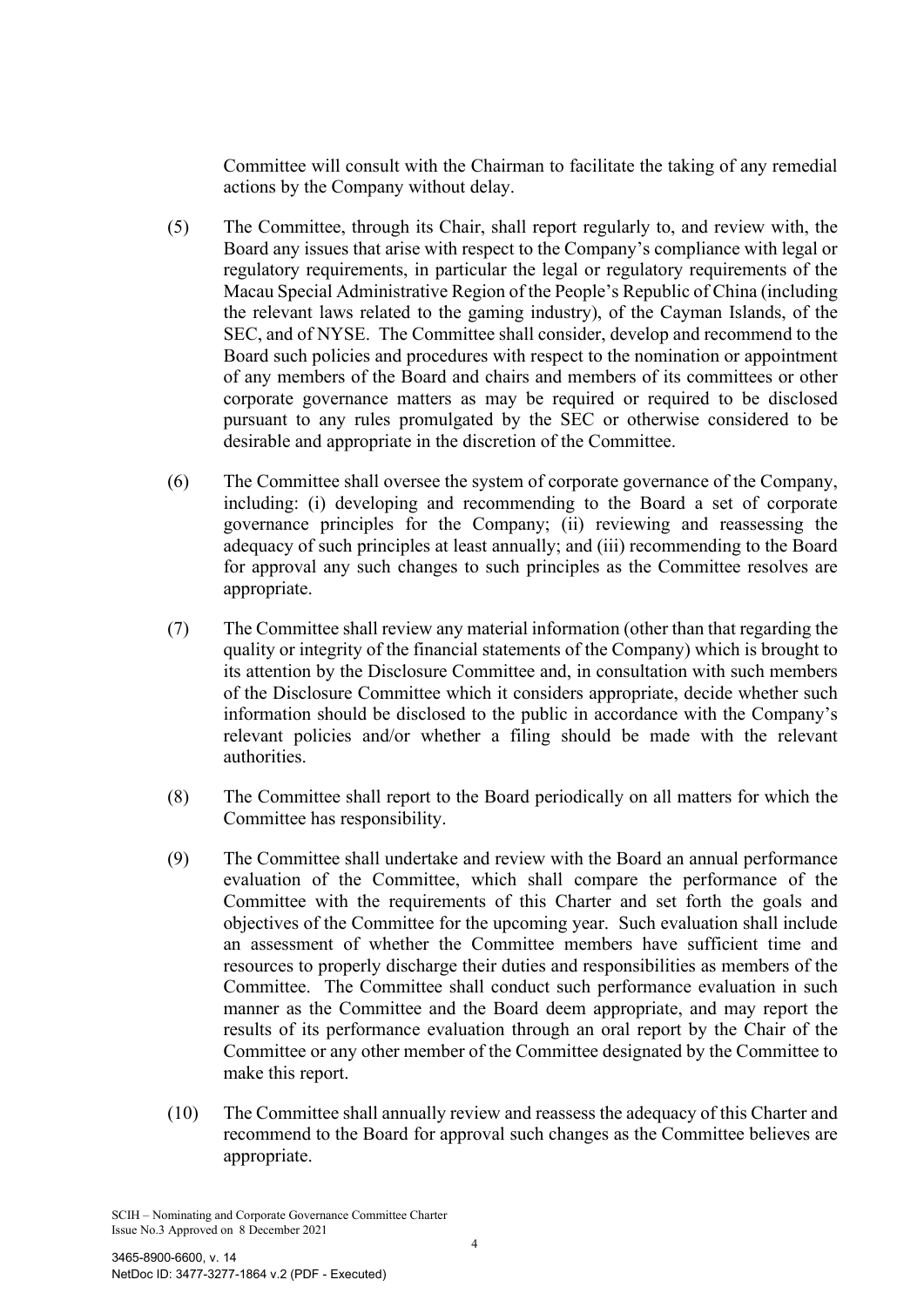Committee will consult with the Chairman to facilitate the taking of any remedial actions by the Company without delay.

- (5) The Committee, through its Chair, shall report regularly to, and review with, the Board any issues that arise with respect to the Company's compliance with legal or regulatory requirements, in particular the legal or regulatory requirements of the Macau Special Administrative Region of the People's Republic of China (including the relevant laws related to the gaming industry), of the Cayman Islands, of the SEC, and of NYSE. The Committee shall consider, develop and recommend to the Board such policies and procedures with respect to the nomination or appointment of any members of the Board and chairs and members of its committees or other corporate governance matters as may be required or required to be disclosed pursuant to any rules promulgated by the SEC or otherwise considered to be desirable and appropriate in the discretion of the Committee.
- (6) The Committee shall oversee the system of corporate governance of the Company, including: (i) developing and recommending to the Board a set of corporate governance principles for the Company; (ii) reviewing and reassessing the adequacy of such principles at least annually; and (iii) recommending to the Board for approval any such changes to such principles as the Committee resolves are appropriate.
- (7) The Committee shall review any material information (other than that regarding the quality or integrity of the financial statements of the Company) which is brought to its attention by the Disclosure Committee and, in consultation with such members of the Disclosure Committee which it considers appropriate, decide whether such information should be disclosed to the public in accordance with the Company's relevant policies and/or whether a filing should be made with the relevant authorities.
- (8) The Committee shall report to the Board periodically on all matters for which the Committee has responsibility.
- (9) The Committee shall undertake and review with the Board an annual performance evaluation of the Committee, which shall compare the performance of the Committee with the requirements of this Charter and set forth the goals and objectives of the Committee for the upcoming year. Such evaluation shall include an assessment of whether the Committee members have sufficient time and resources to properly discharge their duties and responsibilities as members of the Committee. The Committee shall conduct such performance evaluation in such manner as the Committee and the Board deem appropriate, and may report the results of its performance evaluation through an oral report by the Chair of the Committee or any other member of the Committee designated by the Committee to make this report.
- (10) The Committee shall annually review and reassess the adequacy of this Charter and recommend to the Board for approval such changes as the Committee believes are appropriate.

SCIH – Nominating and Corporate Governance Committee Charter Issue No.3 Approved on 8 December 2021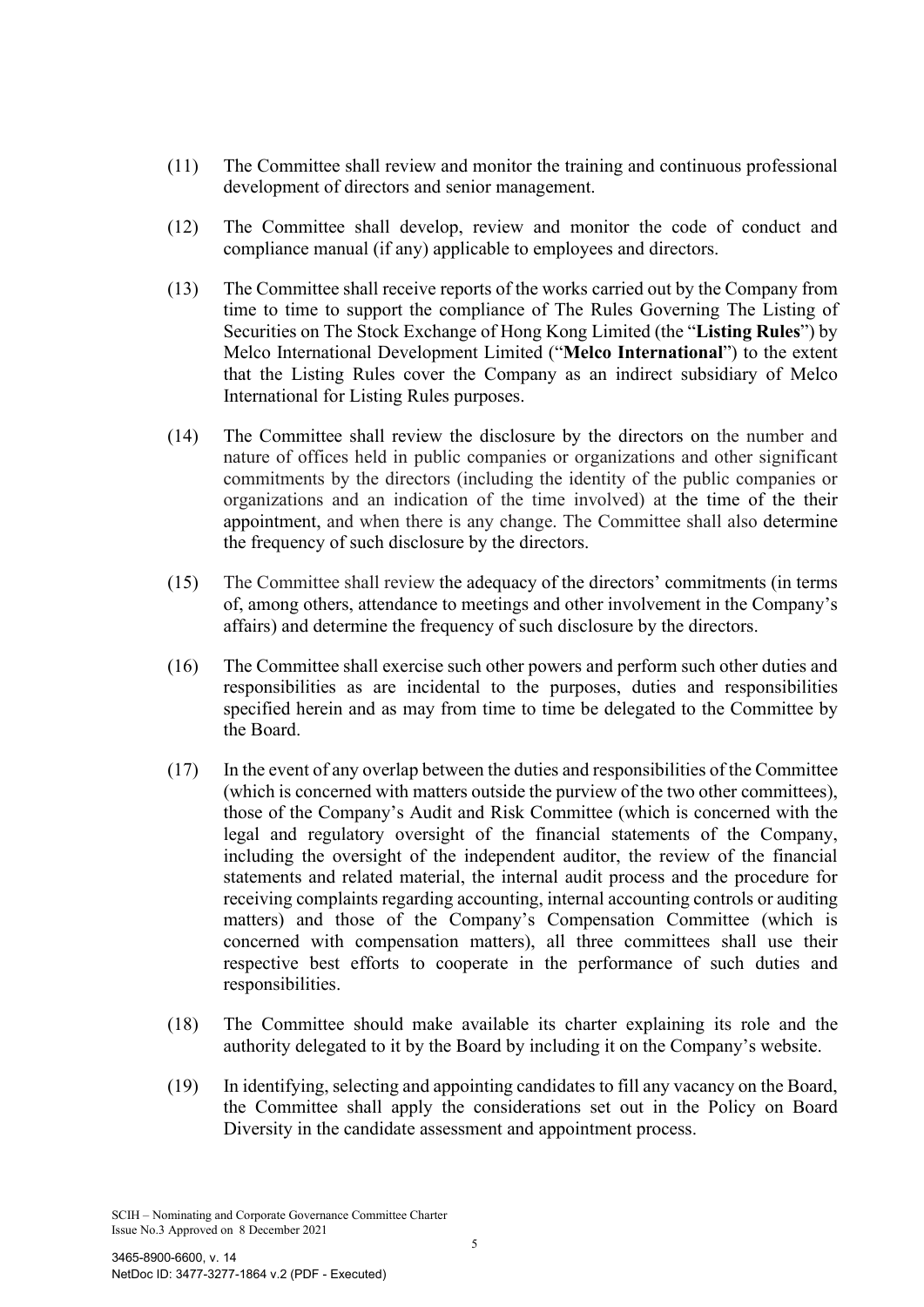- (11) The Committee shall review and monitor the training and continuous professional development of directors and senior management.
- (12) The Committee shall develop, review and monitor the code of conduct and compliance manual (if any) applicable to employees and directors.
- (13) The Committee shall receive reports of the works carried out by the Company from time to time to support the compliance of The Rules Governing The Listing of Securities on The Stock Exchange of Hong Kong Limited (the "**Listing Rules**") by Melco International Development Limited ("**Melco International**") to the extent that the Listing Rules cover the Company as an indirect subsidiary of Melco International for Listing Rules purposes.
- (14) The Committee shall review the disclosure by the directors on the number and nature of offices held in public companies or organizations and other significant commitments by the directors (including the identity of the public companies or organizations and an indication of the time involved) at the time of the their appointment, and when there is any change. The Committee shall also determine the frequency of such disclosure by the directors.
- (15) The Committee shall review the adequacy of the directors' commitments (in terms of, among others, attendance to meetings and other involvement in the Company's affairs) and determine the frequency of such disclosure by the directors.
- (16) The Committee shall exercise such other powers and perform such other duties and responsibilities as are incidental to the purposes, duties and responsibilities specified herein and as may from time to time be delegated to the Committee by the Board.
- (17) In the event of any overlap between the duties and responsibilities of the Committee (which is concerned with matters outside the purview of the two other committees), those of the Company's Audit and Risk Committee (which is concerned with the legal and regulatory oversight of the financial statements of the Company, including the oversight of the independent auditor, the review of the financial statements and related material, the internal audit process and the procedure for receiving complaints regarding accounting, internal accounting controls or auditing matters) and those of the Company's Compensation Committee (which is concerned with compensation matters), all three committees shall use their respective best efforts to cooperate in the performance of such duties and responsibilities.
- (18) The Committee should make available its charter explaining its role and the authority delegated to it by the Board by including it on the Company's website.
- (19) In identifying, selecting and appointing candidates to fill any vacancy on the Board, the Committee shall apply the considerations set out in the Policy on Board Diversity in the candidate assessment and appointment process.

SCIH – Nominating and Corporate Governance Committee Charter Issue No.3 Approved on 8 December 2021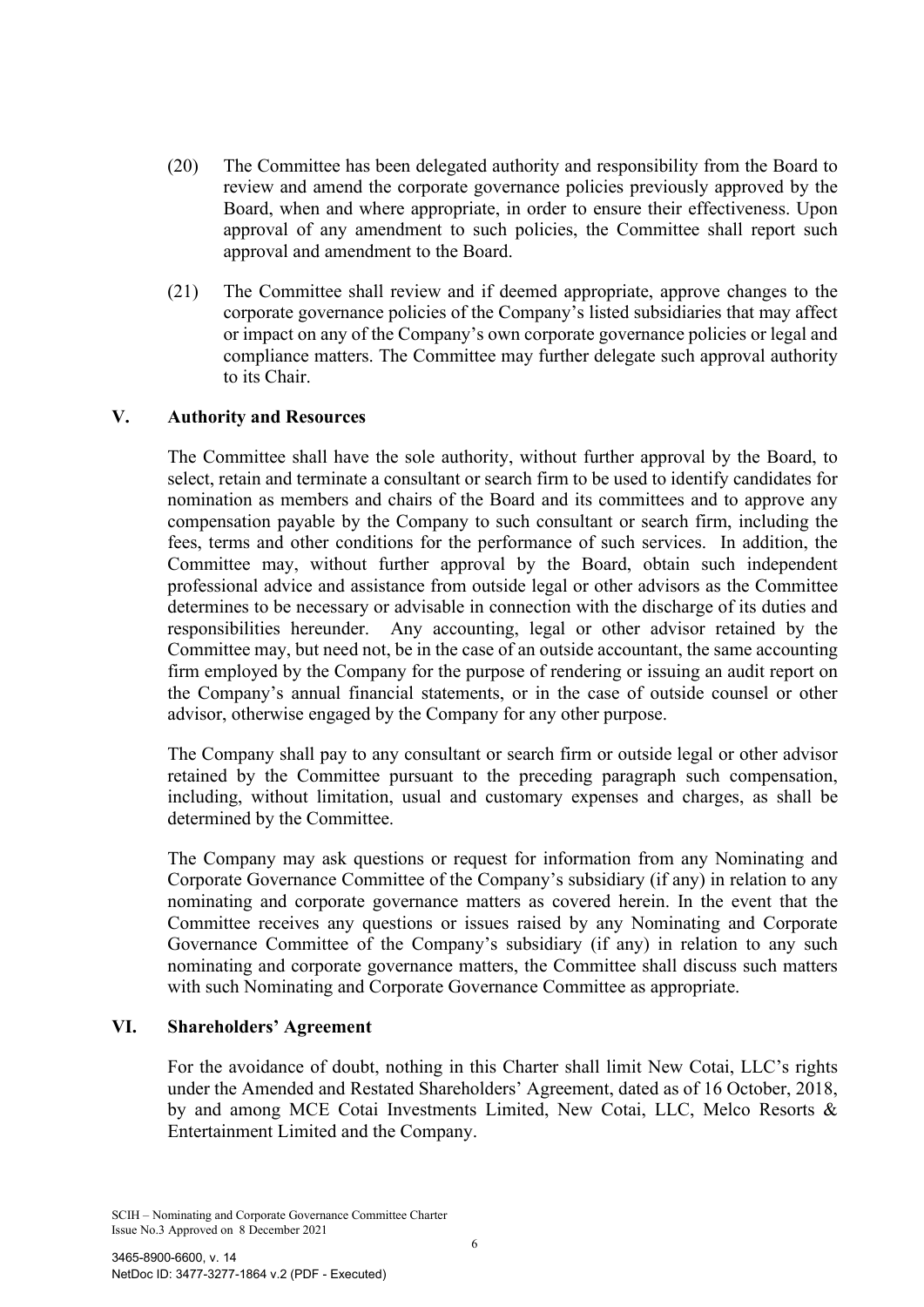- (20) The Committee has been delegated authority and responsibility from the Board to review and amend the corporate governance policies previously approved by the Board, when and where appropriate, in order to ensure their effectiveness. Upon approval of any amendment to such policies, the Committee shall report such approval and amendment to the Board.
- (21) The Committee shall review and if deemed appropriate, approve changes to the corporate governance policies of the Company's listed subsidiaries that may affect or impact on any of the Company's own corporate governance policies or legal and compliance matters. The Committee may further delegate such approval authority to its Chair.

# **V. Authority and Resources**

The Committee shall have the sole authority, without further approval by the Board, to select, retain and terminate a consultant or search firm to be used to identify candidates for nomination as members and chairs of the Board and its committees and to approve any compensation payable by the Company to such consultant or search firm, including the fees, terms and other conditions for the performance of such services. In addition, the Committee may, without further approval by the Board, obtain such independent professional advice and assistance from outside legal or other advisors as the Committee determines to be necessary or advisable in connection with the discharge of its duties and responsibilities hereunder. Any accounting, legal or other advisor retained by the Committee may, but need not, be in the case of an outside accountant, the same accounting firm employed by the Company for the purpose of rendering or issuing an audit report on the Company's annual financial statements, or in the case of outside counsel or other advisor, otherwise engaged by the Company for any other purpose.

The Company shall pay to any consultant or search firm or outside legal or other advisor retained by the Committee pursuant to the preceding paragraph such compensation, including, without limitation, usual and customary expenses and charges, as shall be determined by the Committee.

The Company may ask questions or request for information from any Nominating and Corporate Governance Committee of the Company's subsidiary (if any) in relation to any nominating and corporate governance matters as covered herein. In the event that the Committee receives any questions or issues raised by any Nominating and Corporate Governance Committee of the Company's subsidiary (if any) in relation to any such nominating and corporate governance matters, the Committee shall discuss such matters with such Nominating and Corporate Governance Committee as appropriate.

#### **VI. Shareholders' Agreement**

For the avoidance of doubt, nothing in this Charter shall limit New Cotai, LLC's rights under the Amended and Restated Shareholders' Agreement, dated as of 16 October, 2018, by and among MCE Cotai Investments Limited, New Cotai, LLC, Melco Resorts & Entertainment Limited and the Company.

SCIH – Nominating and Corporate Governance Committee Charter Issue No.3 Approved on 8 December 2021